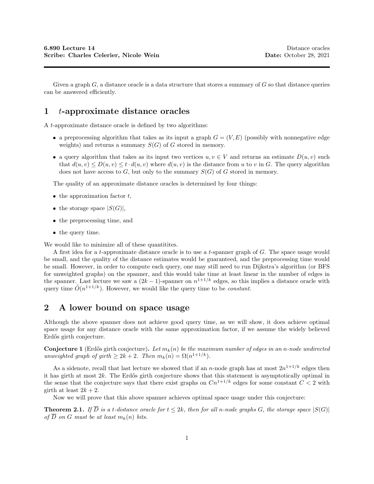Given a graph  $G$ , a distance oracle is a data structure that stores a summary of  $G$  so that distance queries can be answered efficiently.

## 1 t-approximate distance oracles

A t-approximate distance oracle is defined by two algorithms:

- a preprocessing algorithm that takes as its input a graph  $G = (V, E)$  (possibly with nonnegative edge weights) and returns a summary  $S(G)$  of G stored in memory.
- a query algorithm that takes as its input two vertices  $u, v \in V$  and returns an estimate  $D(u, v)$  such that  $d(u, v) \leq D(u, v) \leq t \cdot d(u, v)$  where  $d(u, v)$  is the distance from u to v in G. The query algorithm does not have access to  $G$ , but only to the summary  $S(G)$  of G stored in memory.

The quality of an approximate distance oracles is determined by four things:

- $\bullet$  the approximation factor  $t$ ,
- the storage space  $|S(G)|$ ,
- the preprocessing time, and
- the query time.

We would like to minimize all of these quantitites.

A first idea for a t-approximate distance oracle is to use a t-spanner graph of G. The space usage would be small, and the quality of the distance estimates would be guaranteed, and the preprocessing time would be small. However, in order to compute each query, one may still need to run Dijkstra's algorithm (or BFS for unweighted graphs) on the spanner, and this would take time at least linear in the number of edges in the spanner. Last lecture we saw a  $(2k-1)$ -spanner on  $n^{1+1/k}$  edges, so this implies a distance oracle with query time  $\tilde{O}(n^{1+1/k})$ . However, we would like the query time to be *constant*.

## 2 A lower bound on space usage

Although the above spanner does not achieve good query time, as we will show, it does achieve optimal space usage for any distance oracle with the same approximation factor, if we assume the widely believed Erd˝os girth conjecture.

**Conjecture 1** (Erdős girth conjecture). Let  $m_k(n)$  be the maximum number of edges in an n-node undirected unweighted graph of girth  $\geq 2k+2$ . Then  $m_k(n) = \Omega(n^{1+1/k})$ .

As a sidenote, recall that last lecture we showed that if an *n*-node graph has at most  $2n^{1+1/k}$  edges then it has girth at most  $2k$ . The Erdős girth conjecture shows that this statement is asymptotically optimal in the sense that the conjecture says that there exist graphs on  $Cn^{1+1/k}$  edges for some constant  $C < 2$  with girth at least  $2k + 2$ .

Now we will prove that this above spanner achieves optimal space usage under this conjecture:

**Theorem 2.1.** If  $\overline{D}$  is a t-distance oracle for  $t \leq 2k$ , then for all n-node graphs G, the storage space  $|S(G)|$ of  $\overline{D}$  on G must be at least  $m_k(n)$  bits.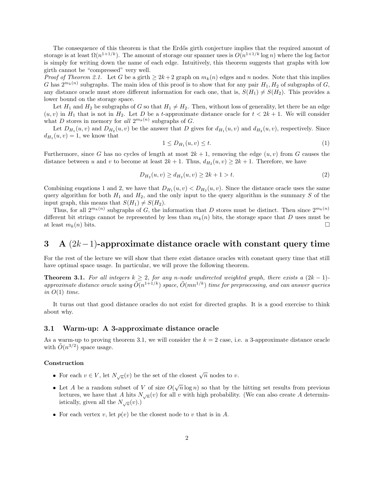The consequence of this theorem is that the Erdős girth conjecture implies that the required amount of storage is at least  $\Omega(n^{1+1/k})$ . The amount of storage our spanner uses is  $O(n^{1+1/k} \log n)$  where the log factor is simply for writing down the name of each edge. Intuitively, this theorem suggests that graphs with low girth cannot be "compressed" very well.

*Proof of Theorem 2.1.* Let G be a girth  $\geq 2k+2$  graph on  $m_k(n)$  edges and n nodes. Note that this implies G has  $2^{m_k(n)}$  subgraphs. The main idea of this proof is to show that for any pair  $H_1, H_2$  of subgraphs of G, any distance oracle must store different information for each one, that is,  $S(H_1) \neq S(H_2)$ . This provides a lower bound on the storage space.

Let  $H_1$  and  $H_2$  be subgraphs of G so that  $H_1 \neq H_2$ . Then, without loss of generality, let there be an edge  $(u, v)$  in  $H_1$  that is not in  $H_2$ . Let D be a t-approximate distance oracle for  $t < 2k + 1$ . We will consider what D stores in memory for all  $2^{m_k(n)}$  subgraphs of G.

Let  $D_{H_1}(u, v)$  and  $D_{H_2}(u, v)$  be the answer that D gives for  $d_{H_1}(u, v)$  and  $d_{H_2}(u, v)$ , respectively. Since  $d_{H_1}(u, v) = 1$ , we know that

$$
1 \le D_{H_1}(u, v) \le t. \tag{1}
$$

Furthermore, since G has no cycles of length at most  $2k + 1$ , removing the edge  $(u, v)$  from G causes the distance between u and v to become at least  $2k + 1$ . Thus,  $d_{H_2}(u, v) \ge 2k + 1$ . Therefore, we have

$$
D_{H_2}(u, v) \ge d_{H_2}(u, v) \ge 2k + 1 > t. \tag{2}
$$

Combining eugations 1 and 2, we have that  $D_{H_1}(u, v) < D_{H_2}(u, v)$ . Since the distance oracle uses the same query algorithm for both  $H_1$  and  $H_2$ , and the only input to the query algorithm is the summary S of the input graph, this means that  $S(H_1) \neq S(H_2)$ .

Thus, for all  $2^{m_k(n)}$  subgraphs of G, the information that D stores must be distinct. Then since  $2^{m_k(n)}$ different bit strings cannot be represented by less than  $m_k(n)$  bits, the storage space that D uses must be at least  $m_k(n)$  bits.

# 3 A  $(2k-1)$ -approximate distance oracle with constant query time

For the rest of the lecture we will show that there exist distance oracles with constant query time that still have optimal space usage. In particular, we will prove the following theorem.

**Theorem 3.1.** For all integers  $k \geq 2$ , for any n-node undirected weighted graph, there exists a  $(2k-1)$ approximate distance oracle using  $\tilde{O}(n^{1+1/k})$  space,  $\tilde{O}(mn^{1/k})$  time for preprocessing, and can answer queries in  $O(1)$  time.

It turns out that good distance oracles do not exist for directed graphs. It is a good exercise to think about why.

### 3.1 Warm-up: A 3-approximate distance oracle

As a warm-up to proving theorem 3.1, we will consider the  $k = 2$  case, i.e. a 3-approximate distance oracle with  $\tilde{O}(n^{3/2})$  space usage.

#### Construction

- For each  $v \in V$ , let  $N_{\sqrt{n}}(v)$  be the set of the closest  $\sqrt{n}$  nodes to v.
- Let A be a random subset of V of size  $O(\sqrt{n}\log n)$  so that by the hitting set results from previous lectures, we have that A hits  $N_{\sqrt{n}}(v)$  for all v with high probability. (We can also create A deterministically, given all the  $N_{\sqrt{n}}(v)$ .)
- For each vertex v, let  $p(v)$  be the closest node to v that is in A.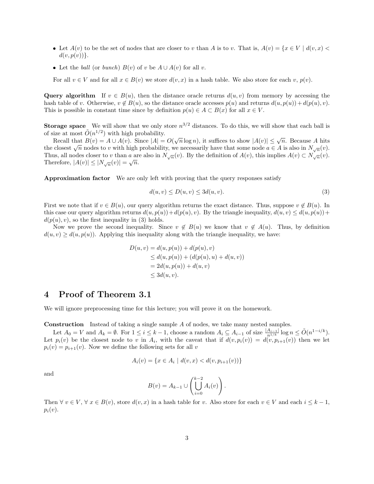- Let  $A(v)$  to be the set of nodes that are closer to v than A is to v. That is,  $A(v) = \{x \in V \mid d(v, x)$  $d(v, p(v))$ .
- Let the *ball* (or *bunch*)  $B(v)$  of v be  $A ∪ A(v)$  for all v.

For all  $v \in V$  and for all  $x \in B(v)$  we store  $d(v, x)$  in a hash table. We also store for each v,  $p(v)$ .

Query algorithm If  $v \in B(u)$ , then the distance oracle returns  $d(u, v)$  from memory by accessing the hash table of v. Otherwise,  $v \notin B(u)$ , so the distance oracle accesses  $p(u)$  and returns  $d(u, p(u)) + d(p(u), v)$ . This is possible in constant time since by definition  $p(u) \in A \subset B(x)$  for all  $x \in V$ .

**Storage space** We will show that we only store  $n^{3/2}$  distances. To do this, we will show that each ball is of size at most  $\tilde{O}(n^{1/2})$  with high probability.

Recall that  $B(v) = A \cup A(v)$ . Since  $|A| = O(\sqrt{n} \log n)$ , it suffices to show  $|A(v)| \leq \sqrt{n}$ . Because A hits the closest  $\sqrt{n}$  nodes to v with high probability, we necessarily have that some node  $a \in A$  is also in  $N_{\sqrt{n}}(v)$ . Thus, all nodes closer to v than a are also in  $N_{\sqrt{n}}(v)$ . By the definition of  $A(v)$ , this implies  $A(v) \subset N_{\sqrt{n}}(v)$ . Therefore,  $|A(v)| \leq |N_{\sqrt{n}}(v)| = \sqrt{n}$ .

Approximation factor We are only left with proving that the query responses satisfy

$$
d(u, v) \le D(u, v) \le 3d(u, v). \tag{3}
$$

First we note that if  $v \in B(u)$ , our query algorithm returns the exact distance. Thus, suppose  $v \notin B(u)$ . In this case our query algorithm returns  $d(u, p(u)) + d(p(u), v)$ . By the triangle inequality,  $d(u, v) \leq d(u, p(u)) + d(v(u), v)$  $d(p(u), v)$ , so the first inequality in (3) holds.

Now we prove the second inequality. Since  $v \notin B(u)$  we know that  $v \notin A(u)$ . Thus, by definition  $d(u, v) \geq d(u, p(u))$ . Applying this inequality along with the triangle inequality, we have:

$$
D(u, v) = d(u, p(u)) + d(p(u), v)
$$
  
\n
$$
\leq d(u, p(u)) + (d(p(u), u) + d(u, v))
$$
  
\n
$$
= 2d(u, p(u)) + d(u, v)
$$
  
\n
$$
\leq 3d(u, v).
$$

## 4 Proof of Theorem 3.1

We will ignore preprocessing time for this lecture; you will prove it on the homework.

Construction Instead of taking a single sample A of nodes, we take many nested samples.

Let  $A_0 = V$  and  $A_k = \emptyset$ . For  $1 \leq i \leq k-1$ , choose a random  $A_i \subseteq A_{i-1}$  of size  $\frac{|A_{i-1}|}{n^{1/k}} \log n \leq \tilde{O}(n^{1-i/k})$ . Let  $p_i(v)$  be the closest node to v in  $A_i$ , with the caveat that if  $d(v, p_i(v)) = d(v, p_{i+1}(v))$  then we let  $p_i(v) = p_{i+1}(v)$ . Now we define the following sets for all v

$$
A_i(v) = \{ x \in A_i \mid d(v, x) < d(v, p_{i+1}(v)) \}
$$

and

$$
B(v) = A_{k-1} \cup \left( \bigcup_{i=0}^{k-2} A_i(v) \right).
$$

Then  $\forall v \in V, \forall x \in B(v)$ , store  $d(v, x)$  in a hash table for v. Also store for each  $v \in V$  and each  $i \leq k-1$ ,  $p_i(v)$ .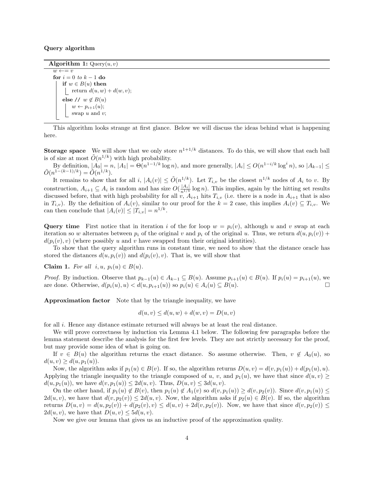#### Query algorithm

Algorithm 1:  $\text{Query}(u, v)$ 

 $w \leftarrow = v$ for  $i = 0$  to  $k - 1$  do if  $w \in B(u)$  then return  $d(u, w) + d(w, v);$ else //  $w \notin B(u)$  $w \leftarrow p_{i+1}(u);$ swap  $u$  and  $v$ ;

This algorithm looks strange at first glance. Below we will discuss the ideas behind what is happening here.

**Storage space** We will show that we only store  $n^{1+1/k}$  distances. To do this, we will show that each ball is of size at most  $\tilde{O}(n^{1/k})$  with high probability.

By definition,  $|A_0| = n$ ,  $|A_1| = \Theta(n^{1-1/k} \log n)$ , and more generally,  $|A_i| \leq O(n^{1-i/k} \log^i n)$ , so  $|A_{k-1}| \leq$  $\tilde{O}(n^{1-(k-1)/k}) = \tilde{O}(n^{1/k}).$ 

It remains to show that for all i,  $|A_i(v)| \leq \tilde{O}(n^{1/k})$ . Let  $T_{i,v}$  be the closest  $n^{1/k}$  nodes of  $A_i$  to v. By construction,  $A_{i+1} \subseteq A_i$  is random and has size  $O(\frac{|A_i|}{n^{1/k}} \log n)$ . This implies, again by the hitting set results discussed before, that with high probability for all  $\hat{v}$ ,  $A_{i+1}$  hits  $T_{i,v}$  (i.e. there is a node in  $A_{i+1}$  that is also in  $T_{i,v}$ ). By the definition of  $A_i(v)$ , similar to our proof for the  $k = 2$  case, this implies  $A_i(v) \subseteq T_{i,v}$ . We can then conclude that  $|A_i(v)| \leq |T_{i,v}| = n^{1/k}$ .

Query time First notice that in iteration i of the for loop  $w = p_i(v)$ , although u and v swap at each iteration so w alternates between  $p_i$  of the original v and  $p_i$  of the original u. Thus, we return  $d(u, p_i(v))$  +  $d(p_i(v), v)$  (where possibly u and v have swapped from their original identities).

To show that the query algorithm runs in constant time, we need to show that the distance oracle has stored the distances  $d(u, p_i(v))$  and  $d(p_i(v), v)$ . That is, we will show that

Claim 1. For all  $i, u, p_i(u) \in B(u)$ .

*Proof.* By induction. Observe that  $p_{k-1}(u) \in A_{k-1} \subseteq B(u)$ . Assume  $p_{i+1}(u) \in B(u)$ . If  $p_i(u) = p_{i+1}(u)$ , we are done. Otherwise,  $d(p_i(u), u) < d(u, p_{i+1}(u))$  so  $p_i(u) \in A_i(u) \subseteq B(u)$ .

Approximation factor Note that by the triangle inequality, we have

$$
d(u, v) \le d(u, w) + d(w, v) = D(u, v)
$$

for all i. Hence any distance estimate returned will always be at least the real distance.

We will prove correctness by induction via Lemma 4.1 below. The following few paragraphs before the lemma statement describe the analysis for the first few levels. They are not strictly necessary for the proof, but may provide some idea of what is going on.

If  $v \in B(u)$  the algorithm returns the exact distance. So assume otherwise. Then,  $v \notin A_0(u)$ , so  $d(u, v) \geq d(u, p_1(u)).$ 

Now, the algorithm asks if  $p_1(u) \in B(v)$ . If so, the algorithm returns  $D(u, v) = d(v, p_1(u)) + d(p_1(u), u)$ . Applying the triangle inequality to the triangle composed of u, v, and  $p_1(u)$ , we have that since  $d(u, v) \ge$  $d(u, p_1(u))$ , we have  $d(v, p_1(u)) \leq 2d(u, v)$ . Thus,  $D(u, v) \leq 3d(u, v)$ .

On the other hand, if  $p_1(u) \notin B(v)$ , then  $p_1(u) \notin A_1(v)$  so  $d(v, p_1(u)) \geq d(v, p_2(v))$ . Since  $d(v, p_1(u)) \leq d(v, p_2(v))$  $2d(u, v)$ , we have that  $d(v, p_2(v)) \leq 2d(u, v)$ . Now, the algorithm asks if  $p_2(u) \in B(v)$ . If so, the algorithm returns  $D(u, v) = d(u, p_2(v)) + d(p_2(v), v) \leq d(u, v) + 2d(v, p_2(v))$ . Now, we have that since  $d(v, p_2(v)) \leq$  $2d(u, v)$ , we have that  $D(u, v) \leq 5d(u, v)$ .

Now we give our lemma that gives us an inductive proof of the approximation quality.